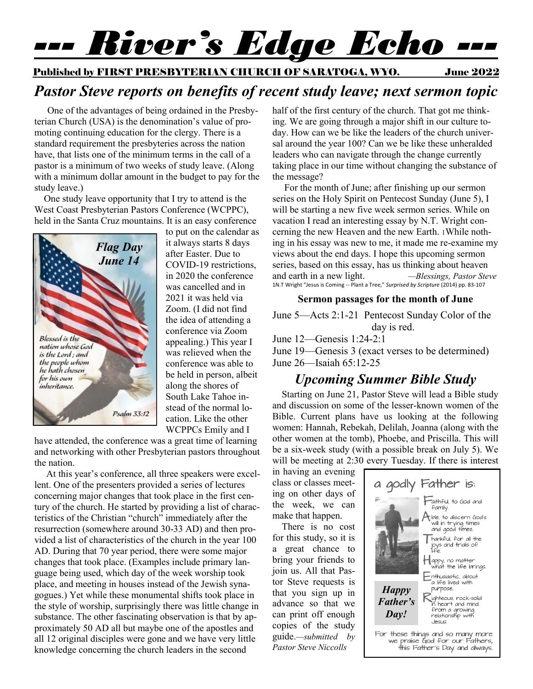# *--- River's Edge Echo ---*

Published by FIRST PRESBYTERIAN CHURCH OF SARATOGA, WYO. June 2022

# *Pastor Steve reports on benefits of recent study leave; next sermon topic*

 One of the advantages of being ordained in the Presbyterian Church (USA) is the denomination's value of promoting continuing education for the clergy. There is a standard requirement the presbyteries across the nation have, that lists one of the minimum terms in the call of a pastor is a minimum of two weeks of study leave. (Along with a minimum dollar amount in the budget to pay for the study leave.)

 One study leave opportunity that I try to attend is the West Coast Presbyterian Pastors Conference (WCPPC), held in the Santa Cruz mountains. It is an easy conference



to put on the calendar as it always starts 8 days after Easter. Due to COVID-19 restrictions, in 2020 the conference was cancelled and in 2021 it was held via Zoom. (I did not find the idea of attending a conference via Zoom appealing.) This year I was relieved when the conference was able to be held in person, albeit along the shores of South Lake Tahoe instead of the normal location. Like the other WCPPCs Emily and I

have attended, the conference was a great time of learning and networking with other Presbyterian pastors throughout the nation.

 At this year's conference, all three speakers were excellent. One of the presenters provided a series of lectures concerning major changes that took place in the first century of the church. He started by providing a list of characteristics of the Christian "church" immediately after the resurrection (somewhere around 30-33 AD) and then provided a list of characteristics of the church in the year 100 AD. During that 70 year period, there were some major changes that took place. (Examples include primary language being used, which day of the week worship took place, and meeting in houses instead of the Jewish synagogues.) Yet while these monumental shifts took place in the style of worship, surprisingly there was little change in substance. The other fascinating observation is that by approximately 50 AD all but maybe one of the apostles and all 12 original disciples were gone and we have very little knowledge concerning the church leaders in the second

half of the first century of the church. That got me thinking. We are going through a major shift in our culture today. How can we be like the leaders of the church universal around the year 100? Can we be like these unheralded leaders who can navigate through the change currently taking place in our time without changing the substance of the message?

 For the month of June; after finishing up our sermon series on the Holy Spirit on Pentecost Sunday (June 5), I will be starting a new five week sermon series. While on vacation I read an interesting essay by N.T. Wright concerning the new Heaven and the new Earth. 1While nothing in his essay was new to me, it made me re-examine my views about the end days. I hope this upcoming sermon series, based on this essay, has us thinking about heaven and earth in a new light. *—Blessings, Pastor Steve* 1N.T Wright "Jesus is Coming -- Plant a Tree," *Surprised by Scripture* (2014) pp. 83-107

#### **Sermon passages for the month of June**

June 5—Acts 2:1-21 Pentecost Sunday Color of the day is red.

June 12—Genesis 1:24-2:1

June 19—Genesis 3 (exact verses to be determined) June 26—Isaiah 65:12-25

#### *Upcoming Summer Bible Study*

Starting on June 21, Pastor Steve will lead a Bible study and discussion on some of the lesser-known women of the Bible. Current plans have us looking at the following women: Hannah, Rebekah, Delilah, Joanna (along with the other women at the tomb), Phoebe, and Priscilla. This will be a six-week study (with a possible break on July 5). We will be meeting at 2:30 every Tuesday. If there is interest

in having an evening class or classes meeting on other days of the week, we can make that happen.

There is no cost for this study, so it is a great chance to bring your friends to join us. All that Pastor Steve requests is that you sign up in advance so that we can print off enough copies of the study guide.*—submitted by Pastor Steve Niccolls*

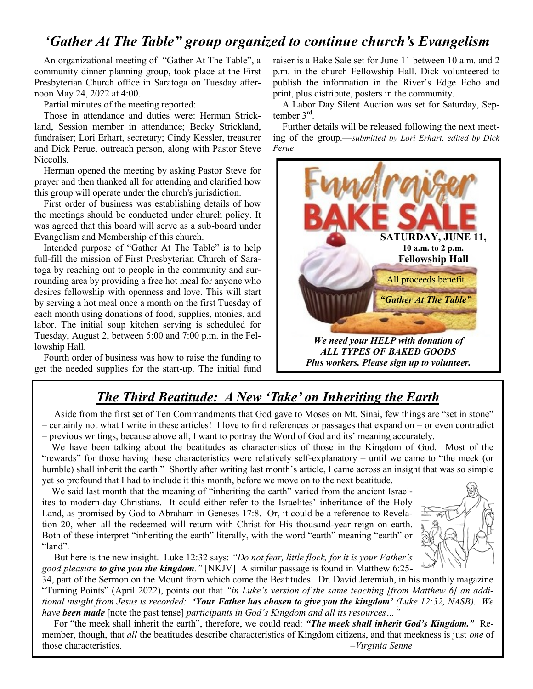#### *'Gather At The Table" group organized to continue church's Evangelism*

An organizational meeting of "Gather At The Table", a community dinner planning group, took place at the First Presbyterian Church office in Saratoga on Tuesday afternoon May 24, 2022 at 4:00.

Partial minutes of the meeting reported:

Those in attendance and duties were: Herman Strickland, Session member in attendance; Becky Strickland, fundraiser; Lori Erhart, secretary; Cindy Kessler, treasurer and Dick Perue, outreach person, along with Pastor Steve Niccolls.

Herman opened the meeting by asking Pastor Steve for prayer and then thanked all for attending and clarified how this group will operate under the church's jurisdiction.

First order of business was establishing details of how the meetings should be conducted under church policy. It was agreed that this board will serve as a sub-board under Evangelism and Membership of this church.

Intended purpose of "Gather At The Table" is to help full-fill the mission of First Presbyterian Church of Saratoga by reaching out to people in the community and surrounding area by providing a free hot meal for anyone who desires fellowship with openness and love. This will start by serving a hot meal once a month on the first Tuesday of each month using donations of food, supplies, monies, and labor. The initial soup kitchen serving is scheduled for Tuesday, August 2, between 5:00 and 7:00 p.m. in the Fellowship Hall.

Fourth order of business was how to raise the funding to get the needed supplies for the start-up. The initial fund

raiser is a Bake Sale set for June 11 between 10 a.m. and 2 p.m. in the church Fellowship Hall. Dick volunteered to publish the information in the River's Edge Echo and print, plus distribute, posters in the community.

A Labor Day Silent Auction was set for Saturday, September 3<sup>rd</sup>.

Further details will be released following the next meeting of the group.—*submitted by Lori Erhart, edited by Dick Perue*



#### *The Third Beatitude: A New 'Take' on Inheriting the Earth*

 Aside from the first set of Ten Commandments that God gave to Moses on Mt. Sinai, few things are "set in stone" – certainly not what I write in these articles! I love to find references or passages that expand on – or even contradict – previous writings, because above all, I want to portray the Word of God and its' meaning accurately.

 We have been talking about the beatitudes as characteristics of those in the Kingdom of God. Most of the "rewards" for those having these characteristics were relatively self-explanatory – until we came to "the meek (or humble) shall inherit the earth." Shortly after writing last month's article, I came across an insight that was so simple yet so profound that I had to include it this month, before we move on to the next beatitude.

 We said last month that the meaning of "inheriting the earth" varied from the ancient Israelites to modern-day Christians. It could either refer to the Israelites' inheritance of the Holy Land, as promised by God to Abraham in Geneses 17:8. Or, it could be a reference to Revelation 20, when all the redeemed will return with Christ for His thousand-year reign on earth. Both of these interpret "inheriting the earth" literally, with the word "earth" meaning "earth" or "land".



 But here is the new insight. Luke 12:32 says: *"Do not fear, little flock, for it is your Father's good pleasure to give you the kingdom."* [NKJV] A similar passage is found in Matthew 6:25-

34, part of the Sermon on the Mount from which come the Beatitudes. Dr. David Jeremiah, in his monthly magazine "Turning Points" (April 2022), points out that *"in Luke's version of the same teaching [from Matthew 6] an additional insight from Jesus is recorded: 'Your Father has chosen to give you the kingdom' (Luke 12:32, NASB). We have been made* [note the past tense] *participants in God's Kingdom and all its resources…"*

 For "the meek shall inherit the earth", therefore, we could read: *"The meek shall inherit God's Kingdom."* Remember, though, that *all* the beatitudes describe characteristics of Kingdom citizens, and that meekness is just *one* of those characteristics. –*Virginia Senne*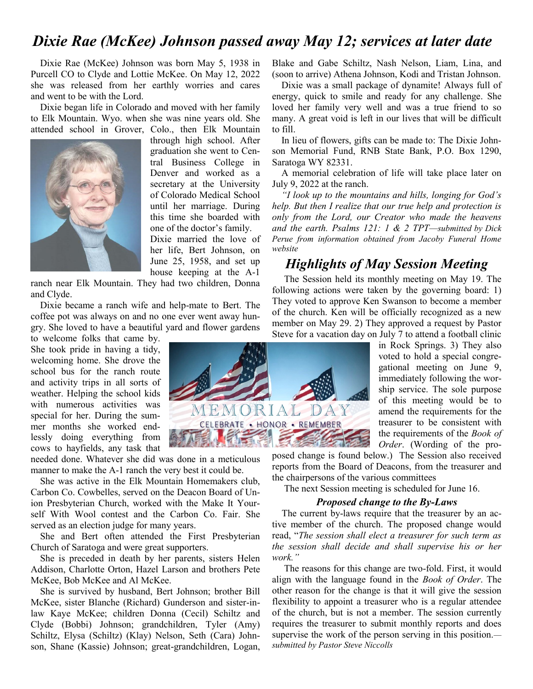### *Dixie Rae (McKee) Johnson passed away May 12; services at later date*

Dixie Rae (McKee) Johnson was born May 5, 1938 in Purcell CO to Clyde and Lottie McKee. On May 12, 2022 she was released from her earthly worries and cares and went to be with the Lord.

Dixie began life in Colorado and moved with her family to Elk Mountain. Wyo. when she was nine years old. She attended school in Grover, Colo., then Elk Mountain



through high school. After graduation she went to Central Business College in Denver and worked as a secretary at the University of Colorado Medical School until her marriage. During this time she boarded with one of the doctor's family. Dixie married the love of her life, Bert Johnson, on June 25, 1958, and set up house keeping at the A-1

ranch near Elk Mountain. They had two children, Donna and Clyde.

Dixie became a ranch wife and help-mate to Bert. The coffee pot was always on and no one ever went away hungry. She loved to have a beautiful yard and flower gardens

to welcome folks that came by. She took pride in having a tidy, welcoming home. She drove the school bus for the ranch route and activity trips in all sorts of weather. Helping the school kids with numerous activities was special for her. During the summer months she worked endlessly doing everything from cows to hayfields, any task that

needed done. Whatever she did was done in a meticulous manner to make the A-1 ranch the very best it could be.

She was active in the Elk Mountain Homemakers club, Carbon Co. Cowbelles, served on the Deacon Board of Union Presbyterian Church, worked with the Make It Yourself With Wool contest and the Carbon Co. Fair. She served as an election judge for many years.

She and Bert often attended the First Presbyterian Church of Saratoga and were great supporters.

She is preceded in death by her parents, sisters Helen Addison, Charlotte Orton, Hazel Larson and brothers Pete McKee, Bob McKee and Al McKee.

She is survived by husband, Bert Johnson; brother Bill McKee, sister Blanche (Richard) Gunderson and sister-inlaw Kaye McKee; children Donna (Cecil) Schiltz and Clyde (Bobbi) Johnson; grandchildren, Tyler (Amy) Schiltz, Elysa (Schiltz) (Klay) Nelson, Seth (Cara) Johnson, Shane (Kassie) Johnson; great-grandchildren, Logan,

Blake and Gabe Schiltz, Nash Nelson, Liam, Lina, and (soon to arrive) Athena Johnson, Kodi and Tristan Johnson.

Dixie was a small package of dynamite! Always full of energy, quick to smile and ready for any challenge. She loved her family very well and was a true friend to so many. A great void is left in our lives that will be difficult to fill.

In lieu of flowers, gifts can be made to: The Dixie Johnson Memorial Fund, RNB State Bank, P.O. Box 1290, Saratoga WY 82331.

A memorial celebration of life will take place later on July 9, 2022 at the ranch.

*"I look up to the mountains and hills, longing for God's help. But then I realize that our true help and protection is only from the Lord, our Creator who made the heavens and the earth. Psalms 121: 1 & 2 TPT—submitted by Dick Perue from information obtained from Jacoby Funeral Home website*

#### *Highlights of May Session Meeting*

 The Session held its monthly meeting on May 19. The following actions were taken by the governing board: 1) They voted to approve Ken Swanson to become a member of the church. Ken will be officially recognized as a new member on May 29. 2) They approved a request by Pastor Steve for a vacation day on July 7 to attend a football clinic

in Rock Springs. 3) They also voted to hold a special congregational meeting on June 9, immediately following the worship service. The sole purpose of this meeting would be to amend the requirements for the treasurer to be consistent with the requirements of the *Book of Order*. (Wording of the pro-

posed change is found below.) The Session also received reports from the Board of Deacons, from the treasurer and the chairpersons of the various committees

The next Session meeting is scheduled for June 16.

#### *Proposed change to the By-Laws*

 The current by-laws require that the treasurer by an active member of the church. The proposed change would read, "*The session shall elect a treasurer for such term as the session shall decide and shall supervise his or her work."* 

 The reasons for this change are two-fold. First, it would align with the language found in the *Book of Order*. The other reason for the change is that it will give the session flexibility to appoint a treasurer who is a regular attendee of the church, but is not a member. The session currently requires the treasurer to submit monthly reports and does supervise the work of the person serving in this position. *submitted by Pastor Steve Niccolls*